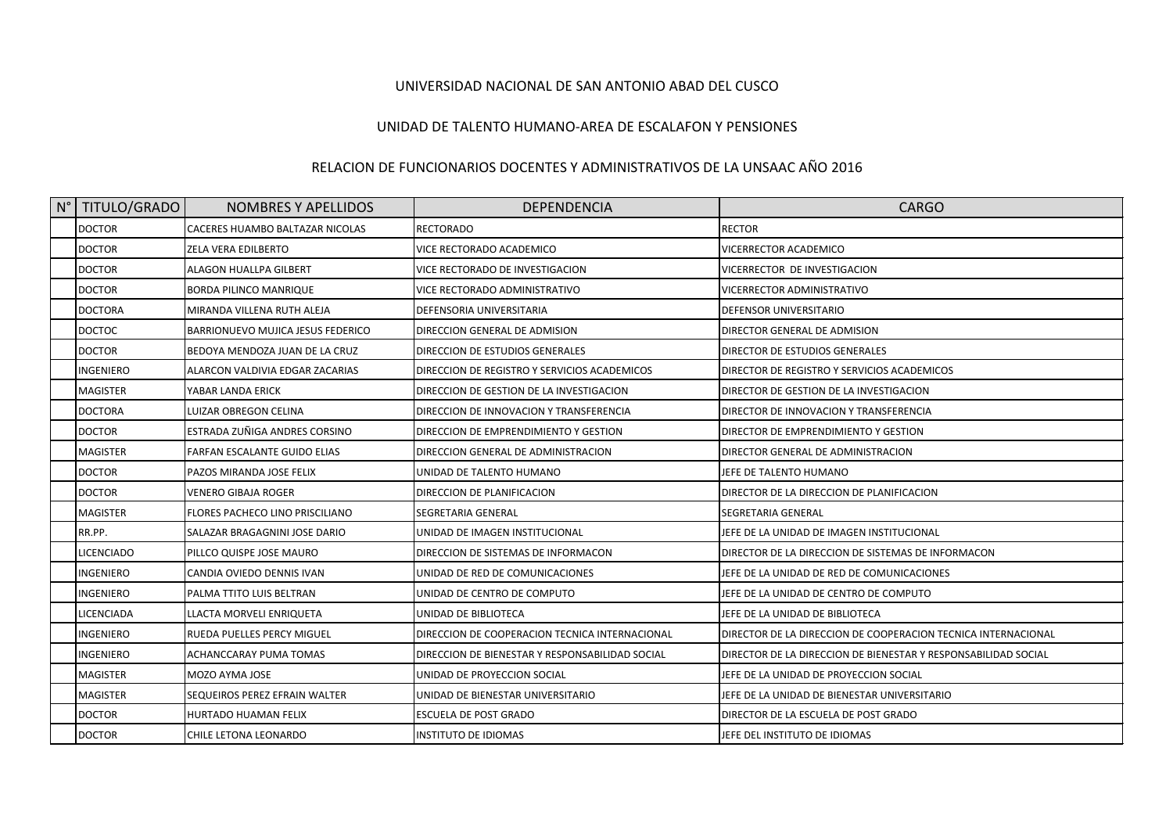## UNIVERSIDAD NACIONAL DE SAN ANTONIO ABAD DEL CUSCO

## UNIDAD DE TALENTO HUMANO-AREA DE ESCALAFON Y PENSIONES

## RELACION DE FUNCIONARIOS DOCENTES Y ADMINISTRATIVOS DE LA UNSAAC AÑO 2016

| $N^{\circ}$ | TITULO/GRADO      | <b>NOMBRES Y APELLIDOS</b>             | DEPENDENCIA                                     | <b>CARGO</b>                                                   |
|-------------|-------------------|----------------------------------------|-------------------------------------------------|----------------------------------------------------------------|
|             | <b>DOCTOR</b>     | CACERES HUAMBO BALTAZAR NICOLAS        | <b>RECTORADO</b>                                | <b>RECTOR</b>                                                  |
|             | <b>DOCTOR</b>     | ZELA VERA EDILBERTO                    | VICE RECTORADO ACADEMICO                        | VICERRECTOR ACADEMICO                                          |
|             | <b>DOCTOR</b>     | ALAGON HUALLPA GILBERT                 | VICE RECTORADO DE INVESTIGACION                 | VICERRECTOR DE INVESTIGACION                                   |
|             | <b>DOCTOR</b>     | <b>BORDA PILINCO MANRIQUE</b>          | VICE RECTORADO ADMINISTRATIVO                   | VICERRECTOR ADMINISTRATIVO                                     |
|             | <b>DOCTORA</b>    | MIRANDA VILLENA RUTH ALEJA             | <b>DEFENSORIA UNIVERSITARIA</b>                 | DEFENSOR UNIVERSITARIO                                         |
|             | <b>DOCTOC</b>     | BARRIONUEVO MUJICA JESUS FEDERICO      | DIRECCION GENERAL DE ADMISION                   | DIRECTOR GENERAL DE ADMISION                                   |
|             | <b>DOCTOR</b>     | BEDOYA MENDOZA JUAN DE LA CRUZ         | DIRECCION DE ESTUDIOS GENERALES                 | DIRECTOR DE ESTUDIOS GENERALES                                 |
|             | <b>INGENIERO</b>  | ALARCON VALDIVIA EDGAR ZACARIAS        | DIRECCION DE REGISTRO Y SERVICIOS ACADEMICOS    | DIRECTOR DE REGISTRO Y SERVICIOS ACADEMICOS                    |
|             | <b>MAGISTER</b>   | YABAR LANDA ERICK                      | DIRECCION DE GESTION DE LA INVESTIGACION        | DIRECTOR DE GESTION DE LA INVESTIGACION                        |
|             | <b>DOCTORA</b>    | LUIZAR OBREGON CELINA                  | DIRECCION DE INNOVACION Y TRANSFERENCIA         | DIRECTOR DE INNOVACION Y TRANSFERENCIA                         |
|             | <b>DOCTOR</b>     | ESTRADA ZUÑIGA ANDRES CORSINO          | DIRECCION DE EMPRENDIMIENTO Y GESTION           | DIRECTOR DE EMPRENDIMIENTO Y GESTION                           |
|             | <b>MAGISTER</b>   | FARFAN ESCALANTE GUIDO ELIAS           | DIRECCION GENERAL DE ADMINISTRACION             | DIRECTOR GENERAL DE ADMINISTRACION                             |
|             | <b>DOCTOR</b>     | PAZOS MIRANDA JOSE FELIX               | UNIDAD DE TALENTO HUMANO                        | JEFE DE TALENTO HUMANO                                         |
|             | <b>DOCTOR</b>     | <b>VENERO GIBAJA ROGER</b>             | DIRECCION DE PLANIFICACION                      | DIRECTOR DE LA DIRECCION DE PLANIFICACION                      |
|             | <b>MAGISTER</b>   | <b>FLORES PACHECO LINO PRISCILIANO</b> | <b>SEGRETARIA GENERAL</b>                       | SEGRETARIA GENERAL                                             |
|             | RR.PP.            | SALAZAR BRAGAGNINI JOSE DARIO          | UNIDAD DE IMAGEN INSTITUCIONAL                  | JEFE DE LA UNIDAD DE IMAGEN INSTITUCIONAL                      |
|             | <b>LICENCIADO</b> | PILLCO QUISPE JOSE MAURO               | DIRECCION DE SISTEMAS DE INFORMACON             | DIRECTOR DE LA DIRECCION DE SISTEMAS DE INFORMACON             |
|             | <b>INGENIERO</b>  | CANDIA OVIEDO DENNIS IVAN              | UNIDAD DE RED DE COMUNICACIONES                 | JEFE DE LA UNIDAD DE RED DE COMUNICACIONES                     |
|             | <b>INGENIERO</b>  | PALMA TTITO LUIS BELTRAN               | UNIDAD DE CENTRO DE COMPUTO                     | JEFE DE LA UNIDAD DE CENTRO DE COMPUTO                         |
|             | LICENCIADA        | LLACTA MORVELI ENRIQUETA               | UNIDAD DE BIBLIOTECA                            | JEFE DE LA UNIDAD DE BIBLIOTECA                                |
|             | <b>INGENIERO</b>  | RUEDA PUELLES PERCY MIGUEL             | DIRECCION DE COOPERACION TECNICA INTERNACIONAL  | DIRECTOR DE LA DIRECCION DE COOPERACION TECNICA INTERNACIONAL  |
|             | INGENIERO         | ACHANCCARAY PUMA TOMAS                 | DIRECCION DE BIENESTAR Y RESPONSABILIDAD SOCIAL | DIRECTOR DE LA DIRECCION DE BIENESTAR Y RESPONSABILIDAD SOCIAL |
|             | <b>MAGISTER</b>   | MOZO AYMA JOSE                         | UNIDAD DE PROYECCION SOCIAL                     | JEFE DE LA UNIDAD DE PROYECCION SOCIAL                         |
|             | <b>MAGISTER</b>   | SEQUEIROS PEREZ EFRAIN WALTER          | UNIDAD DE BIENESTAR UNIVERSITARIO               | JEFE DE LA UNIDAD DE BIENESTAR UNIVERSITARIO                   |
|             | <b>DOCTOR</b>     | HURTADO HUAMAN FELIX                   | <b>ESCUELA DE POST GRADO</b>                    | DIRECTOR DE LA ESCUELA DE POST GRADO                           |
|             | <b>DOCTOR</b>     | CHILE LETONA LEONARDO                  | <b>INSTITUTO DE IDIOMAS</b>                     | JEFE DEL INSTITUTO DE IDIOMAS                                  |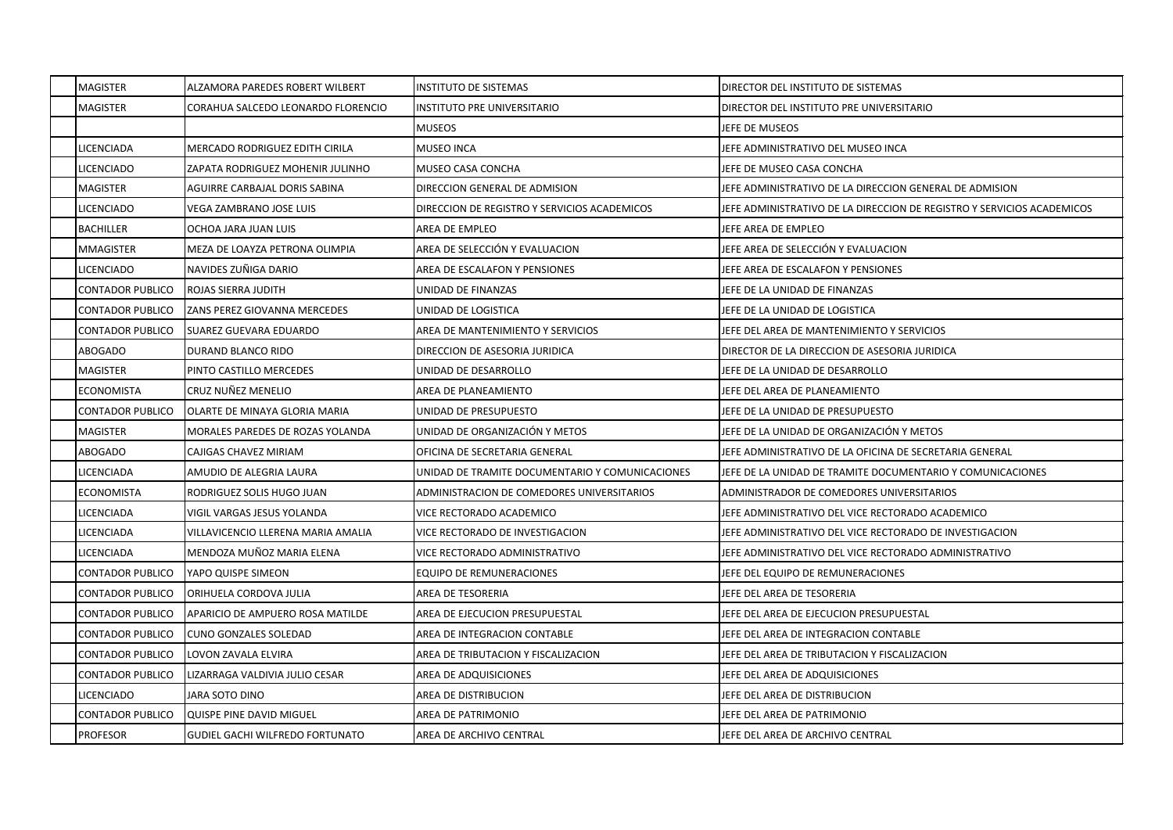| <b>MAGISTER</b>         | ALZAMORA PAREDES ROBERT WILBERT        | <b>INSTITUTO DE SISTEMAS</b>                    | DIRECTOR DEL INSTITUTO DE SISTEMAS                                     |
|-------------------------|----------------------------------------|-------------------------------------------------|------------------------------------------------------------------------|
| <b>MAGISTER</b>         | CORAHUA SALCEDO LEONARDO FLORENCIO     | <b>INSTITUTO PRE UNIVERSITARIO</b>              | DIRECTOR DEL INSTITUTO PRE UNIVERSITARIO                               |
|                         |                                        | <b>MUSEOS</b>                                   | JEFE DE MUSEOS                                                         |
| LICENCIADA              | MERCADO RODRIGUEZ EDITH CIRILA         | <b>MUSEO INCA</b>                               | JEFE ADMINISTRATIVO DEL MUSEO INCA                                     |
| <b>LICENCIADO</b>       | ZAPATA RODRIGUEZ MOHENIR JULINHO       | <b>MUSEO CASA CONCHA</b>                        | JEFE DE MUSEO CASA CONCHA                                              |
| <b>MAGISTER</b>         | AGUIRRE CARBAJAL DORIS SABINA          | DIRECCION GENERAL DE ADMISION                   | JEFE ADMINISTRATIVO DE LA DIRECCION GENERAL DE ADMISION                |
| <b>LICENCIADO</b>       | <b>VEGA ZAMBRANO JOSE LUIS</b>         | DIRECCION DE REGISTRO Y SERVICIOS ACADEMICOS    | JEFE ADMINISTRATIVO DE LA DIRECCION DE REGISTRO Y SERVICIOS ACADEMICOS |
| <b>BACHILLER</b>        | OCHOA JARA JUAN LUIS                   | AREA DE EMPLEO                                  | JEFE AREA DE EMPLEO                                                    |
| <b>MMAGISTER</b>        | MEZA DE LOAYZA PETRONA OLIMPIA         | AREA DE SELECCIÓN Y EVALUACION                  | JEFE AREA DE SELECCIÓN Y EVALUACION                                    |
| LICENCIADO              | NAVIDES ZUÑIGA DARIO                   | AREA DE ESCALAFON Y PENSIONES                   | JEFE AREA DE ESCALAFON Y PENSIONES                                     |
| <b>CONTADOR PUBLICO</b> | ROJAS SIERRA JUDITH                    | UNIDAD DE FINANZAS                              | JEFE DE LA UNIDAD DE FINANZAS                                          |
| CONTADOR PUBLICO        | ZANS PEREZ GIOVANNA MERCEDES           | UNIDAD DE LOGISTICA                             | JEFE DE LA UNIDAD DE LOGISTICA                                         |
| CONTADOR PUBLICO        | SUAREZ GUEVARA EDUARDO                 | AREA DE MANTENIMIENTO Y SERVICIOS               | JEFE DEL AREA DE MANTENIMIENTO Y SERVICIOS                             |
| <b>ABOGADO</b>          | DURAND BLANCO RIDO                     | DIRECCION DE ASESORIA JURIDICA                  | DIRECTOR DE LA DIRECCION DE ASESORIA JURIDICA                          |
| <b>MAGISTER</b>         | PINTO CASTILLO MERCEDES                | UNIDAD DE DESARROLLO                            | JEFE DE LA UNIDAD DE DESARROLLO                                        |
| ECONOMISTA              | CRUZ NUÑEZ MENELIO                     | AREA DE PLANEAMIENTO                            | JEFE DEL AREA DE PLANEAMIENTO                                          |
| CONTADOR PUBLICO        | OLARTE DE MINAYA GLORIA MARIA          | UNIDAD DE PRESUPUESTO                           | JEFE DE LA UNIDAD DE PRESUPUESTO                                       |
| <b>MAGISTER</b>         | MORALES PAREDES DE ROZAS YOLANDA       | UNIDAD DE ORGANIZACIÓN Y METOS                  | JEFE DE LA UNIDAD DE ORGANIZACIÓN Y METOS                              |
| <b>ABOGADO</b>          | CAJIGAS CHAVEZ MIRIAM                  | OFICINA DE SECRETARIA GENERAL                   | JEFE ADMINISTRATIVO DE LA OFICINA DE SECRETARIA GENERAL                |
| LICENCIADA              | AMUDIO DE ALEGRIA LAURA                | UNIDAD DE TRAMITE DOCUMENTARIO Y COMUNICACIONES | JEFE DE LA UNIDAD DE TRAMITE DOCUMENTARIO Y COMUNICACIONES             |
| ECONOMISTA              | RODRIGUEZ SOLIS HUGO JUAN              | ADMINISTRACION DE COMEDORES UNIVERSITARIOS      | ADMINISTRADOR DE COMEDORES UNIVERSITARIOS                              |
| LICENCIADA              | VIGIL VARGAS JESUS YOLANDA             | VICE RECTORADO ACADEMICO                        | JEFE ADMINISTRATIVO DEL VICE RECTORADO ACADEMICO                       |
| LICENCIADA              | VILLAVICENCIO LLERENA MARIA AMALIA     | VICE RECTORADO DE INVESTIGACION                 | JEFE ADMINISTRATIVO DEL VICE RECTORADO DE INVESTIGACION                |
| <b>LICENCIADA</b>       | MENDOZA MUÑOZ MARIA ELENA              | VICE RECTORADO ADMINISTRATIVO                   | JEFE ADMINISTRATIVO DEL VICE RECTORADO ADMINISTRATIVO                  |
| CONTADOR PUBLICO        | YAPO QUISPE SIMEON                     | <b>EQUIPO DE REMUNERACIONES</b>                 | JEFE DEL EQUIPO DE REMUNERACIONES                                      |
| CONTADOR PUBLICO        | ORIHUELA CORDOVA JULIA                 | AREA DE TESORERIA                               | JEFE DEL AREA DE TESORERIA                                             |
| CONTADOR PUBLICO        | APARICIO DE AMPUERO ROSA MATILDE       | AREA DE EJECUCION PRESUPUESTAL                  | JEFE DEL AREA DE EJECUCION PRESUPUESTAL                                |
| <b>CONTADOR PUBLICO</b> | <b>CUNO GONZALES SOLEDAD</b>           | AREA DE INTEGRACION CONTABLE                    | JEFE DEL AREA DE INTEGRACION CONTABLE                                  |
| <b>CONTADOR PUBLICO</b> | LOVON ZAVALA ELVIRA                    | AREA DE TRIBUTACION Y FISCALIZACION             | JEFE DEL AREA DE TRIBUTACION Y FISCALIZACION                           |
| CONTADOR PUBLICO        | LIZARRAGA VALDIVIA JULIO CESAR         | AREA DE ADQUISICIONES                           | JEFE DEL AREA DE ADQUISICIONES                                         |
| LICENCIADO              | JARA SOTO DINO                         | AREA DE DISTRIBUCION                            | JEFE DEL AREA DE DISTRIBUCION                                          |
| <b>CONTADOR PUBLICO</b> | QUISPE PINE DAVID MIGUEL               | AREA DE PATRIMONIO                              | JEFE DEL AREA DE PATRIMONIO                                            |
| <b>PROFESOR</b>         | <b>GUDIEL GACHI WILFREDO FORTUNATO</b> | AREA DE ARCHIVO CENTRAL                         | JEFE DEL AREA DE ARCHIVO CENTRAL                                       |